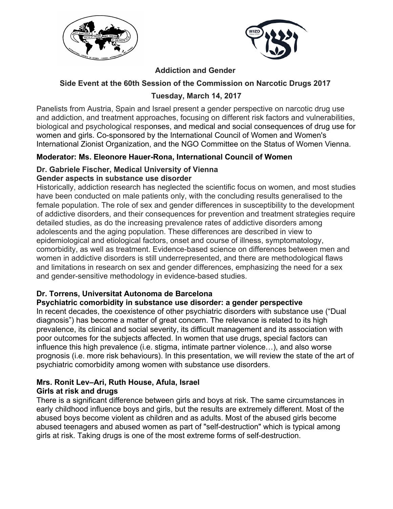



## **Addiction and Gender**

## **Side Event at the 60th Session of the Commission on Narcotic Drugs 2017**

# **Tuesday, March 14, 2017**

Panelists from Austria, Spain and Israel present a gender perspective on narcotic drug use and addiction, and treatment approaches, focusing on different risk factors and vulnerabilities, biological and psychological responses, and medical and social consequences of drug use for women and girls. Co-sponsored by the International Council of Women and Women's International Zionist Organization, and the NGO Committee on the Status of Women Vienna.

## **Moderator: Ms. Eleonore Hauer-Rona, International Council of Women**

#### **Dr. Gabriele Fischer, Medical University of Vienna Gender aspects in substance use disorder**

Historically, addiction research has neglected the scientific focus on women, and most studies have been conducted on male patients only, with the concluding results generalised to the female population. The role of sex and gender differences in susceptibility to the development of addictive disorders, and their consequences for prevention and treatment strategies require detailed studies, as do the increasing prevalence rates of addictive disorders among adolescents and the aging population. These differences are described in view to epidemiological and etiological factors, onset and course of illness, symptomatology, comorbidity, as well as treatment. Evidence-based science on differences between men and women in addictive disorders is still underrepresented, and there are methodological flaws and limitations in research on sex and gender differences, emphasizing the need for a sex and gender-sensitive methodology in evidence-based studies.

## **Dr. Torrens, Universitat Autonoma de Barcelona**

## **Psychiatric comorbidity in substance use disorder: a gender perspective**

In recent decades, the coexistence of other psychiatric disorders with substance use ("Dual diagnosis") has become a matter of great concern. The relevance is related to its high prevalence, its clinical and social severity, its difficult management and its association with poor outcomes for the subjects affected. In women that use drugs, special factors can influence this high prevalence (i.e. stigma, intimate partner violence…), and also worse prognosis (i.e. more risk behaviours). In this presentation, we will review the state of the art of psychiatric comorbidity among women with substance use disorders.

#### **Mrs. Ronit Lev–Ari, Ruth House, Afula, Israel Girls at risk and drugs**

There is a significant difference between girls and boys at risk. The same circumstances in early childhood influence boys and girls, but the results are extremely different. Most of the abused boys become violent as children and as adults. Most of the abused girls become abused teenagers and abused women as part of "self-destruction" which is typical among girls at risk. Taking drugs is one of the most extreme forms of self-destruction.